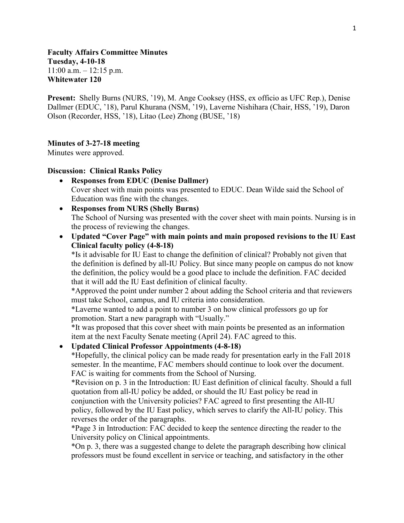# **Faculty Affairs Committee Minutes Tuesday, 4-10-18**  $11:00$  a.m.  $-12:15$  p.m. **Whitewater 120**

**Present:** Shelly Burns (NURS, '19), M. Ange Cooksey (HSS, ex officio as UFC Rep.), Denise Dallmer (EDUC, '18), Parul Khurana (NSM, '19), Laverne Nishihara (Chair, HSS, '19), Daron Olson (Recorder, HSS, '18), Litao (Lee) Zhong (BUSE, '18)

### **Minutes of 3-27-18 meeting**

Minutes were approved.

### **Discussion: Clinical Ranks Policy**

- **Responses from EDUC (Denise Dallmer)** Cover sheet with main points was presented to EDUC. Dean Wilde said the School of Education was fine with the changes.
- **Responses from NURS (Shelly Burns)** The School of Nursing was presented with the cover sheet with main points. Nursing is in the process of reviewing the changes.
- **Updated "Cover Page" with main points and main proposed revisions to the IU East Clinical faculty policy (4-8-18)**

\*Is it advisable for IU East to change the definition of clinical? Probably not given that the definition is defined by all-IU Policy. But since many people on campus do not know the definition, the policy would be a good place to include the definition. FAC decided that it will add the IU East definition of clinical faculty.

\*Approved the point under number 2 about adding the School criteria and that reviewers must take School, campus, and IU criteria into consideration.

\*Laverne wanted to add a point to number 3 on how clinical professors go up for promotion. Start a new paragraph with "Usually."

\*It was proposed that this cover sheet with main points be presented as an information item at the next Faculty Senate meeting (April 24). FAC agreed to this.

# • **Updated Clinical Professor Appointments (4-8-18)**

\*Hopefully, the clinical policy can be made ready for presentation early in the Fall 2018 semester. In the meantime, FAC members should continue to look over the document. FAC is waiting for comments from the School of Nursing.

\*Revision on p. 3 in the Introduction: IU East definition of clinical faculty. Should a full quotation from all-IU policy be added, or should the IU East policy be read in

conjunction with the University policies? FAC agreed to first presenting the All-IU policy, followed by the IU East policy, which serves to clarify the All-IU policy. This reverses the order of the paragraphs.

\*Page 3 in Introduction: FAC decided to keep the sentence directing the reader to the University policy on Clinical appointments.

\*On p. 3, there was a suggested change to delete the paragraph describing how clinical professors must be found excellent in service or teaching, and satisfactory in the other